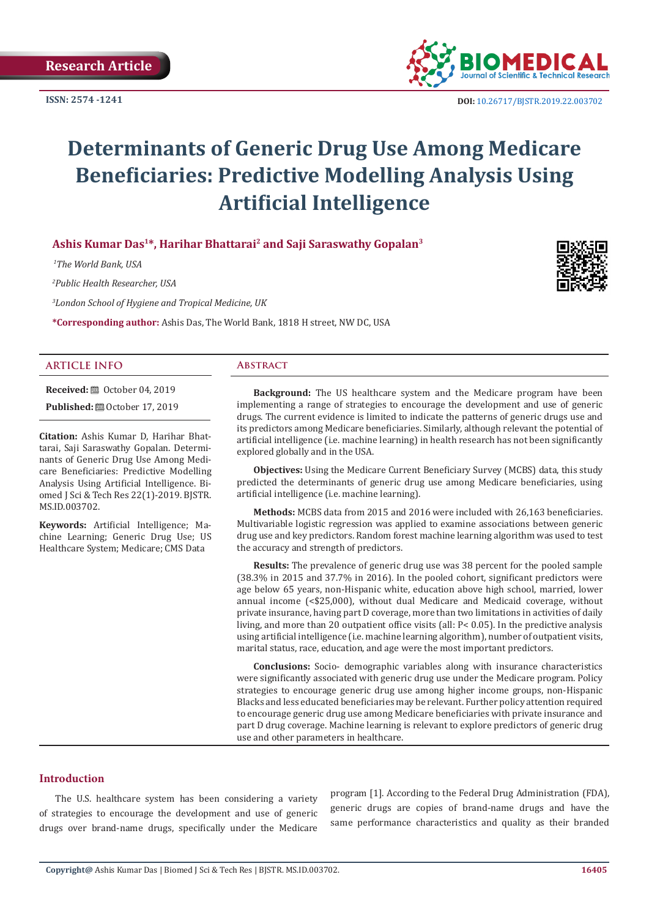

 **DOI:** [10.26717/BJSTR.2019.22.0037](http://dx.doi.org/10.26717/BJSTR.2019.22.003702)02

# **Determinants of Generic Drug Use Among Medicare Beneficiaries: Predictive Modelling Analysis Using Artificial Intelligence**

# **Ashis Kumar Das1\*, Harihar Bhattarai2 and Saji Saraswathy Gopalan<sup>3</sup>**

 *1The World Bank, USA*

*2 Public Health Researcher, USA*

*3 London School of Hygiene and Tropical Medicine, UK*

**\*Corresponding author:** Ashis Das, The World Bank, 1818 H street, NW DC, USA



#### **ARTICLE INFO Abstract**

**Received:** ■ October 04, 2019

**Published:**  $\blacksquare$  October 17, 2019

**Citation:** Ashis Kumar D, Harihar Bhattarai, Saji Saraswathy Gopalan. Determinants of Generic Drug Use Among Medicare Beneficiaries: Predictive Modelling Analysis Using Artificial Intelligence. Biomed J Sci & Tech Res 22(1)-2019. BJSTR. MS.ID.003702.

**Keywords:** Artificial Intelligence; Machine Learning; Generic Drug Use; US Healthcare System; Medicare; CMS Data

**Background:** The US healthcare system and the Medicare program have been implementing a range of strategies to encourage the development and use of generic drugs. The current evidence is limited to indicate the patterns of generic drugs use and its predictors among Medicare beneficiaries. Similarly, although relevant the potential of artificial intelligence (i.e. machine learning) in health research has not been significantly explored globally and in the USA.

**Objectives:** Using the Medicare Current Beneficiary Survey (MCBS) data, this study predicted the determinants of generic drug use among Medicare beneficiaries, using artificial intelligence (i.e. machine learning).

**Methods:** MCBS data from 2015 and 2016 were included with 26,163 beneficiaries. Multivariable logistic regression was applied to examine associations between generic drug use and key predictors. Random forest machine learning algorithm was used to test the accuracy and strength of predictors.

**Results:** The prevalence of generic drug use was 38 percent for the pooled sample (38.3% in 2015 and 37.7% in 2016). In the pooled cohort, significant predictors were age below 65 years, non-Hispanic white, education above high school, married, lower annual income (<\$25,000), without dual Medicare and Medicaid coverage, without private insurance, having part D coverage, more than two limitations in activities of daily living, and more than 20 outpatient office visits (all: P< 0.05). In the predictive analysis using artificial intelligence (i.e. machine learning algorithm), number of outpatient visits, marital status, race, education, and age were the most important predictors.

**Conclusions:** Socio- demographic variables along with insurance characteristics were significantly associated with generic drug use under the Medicare program. Policy strategies to encourage generic drug use among higher income groups, non-Hispanic Blacks and less educated beneficiaries may be relevant. Further policy attention required to encourage generic drug use among Medicare beneficiaries with private insurance and part D drug coverage. Machine learning is relevant to explore predictors of generic drug use and other parameters in healthcare.

**Introduction**

The U.S. healthcare system has been considering a variety of strategies to encourage the development and use of generic drugs over brand-name drugs, specifically under the Medicare

program [1]. According to the Federal Drug Administration (FDA), generic drugs are copies of brand-name drugs and have the same performance characteristics and quality as their branded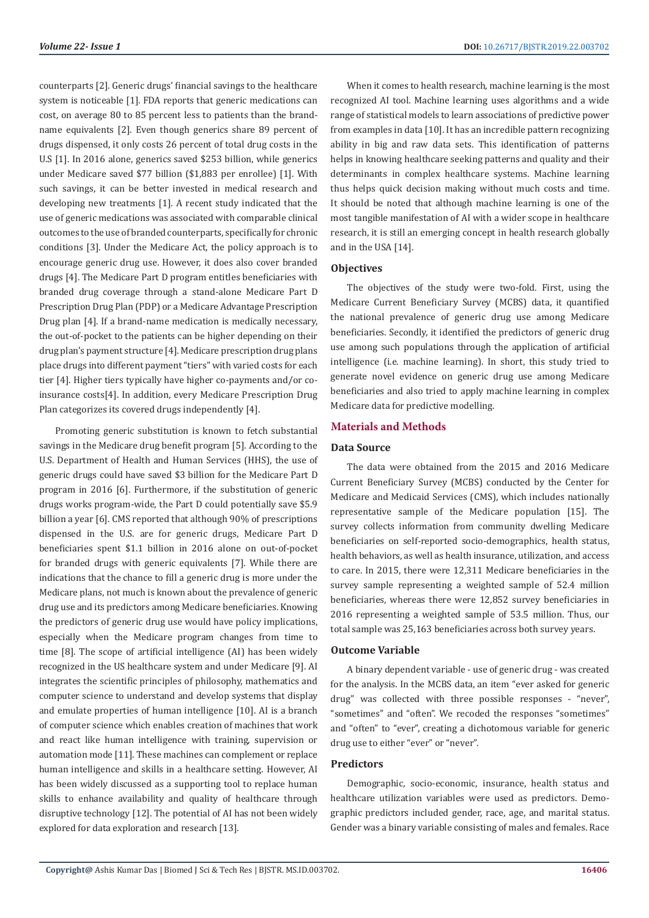counterparts [2]. Generic drugs' financial savings to the healthcare system is noticeable [1]. FDA reports that generic medications can cost, on average 80 to 85 percent less to patients than the brandname equivalents [2]. Even though generics share 89 percent of drugs dispensed, it only costs 26 percent of total drug costs in the U.S [1]. In 2016 alone, generics saved \$253 billion, while generics under Medicare saved \$77 billion (\$1,883 per enrollee) [1]. With such savings, it can be better invested in medical research and developing new treatments [1]. A recent study indicated that the use of generic medications was associated with comparable clinical outcomes to the use of branded counterparts, specifically for chronic conditions [3]. Under the Medicare Act, the policy approach is to encourage generic drug use. However, it does also cover branded drugs [4]. The Medicare Part D program entitles beneficiaries with branded drug coverage through a stand-alone Medicare Part D Prescription Drug Plan (PDP) or a Medicare Advantage Prescription Drug plan [4]. If a brand-name medication is medically necessary, the out-of-pocket to the patients can be higher depending on their drug plan's payment structure [4]. Medicare prescription drug plans place drugs into different payment "tiers" with varied costs for each tier [4]. Higher tiers typically have higher co-payments and/or coinsurance costs[4]. In addition, every Medicare Prescription Drug Plan categorizes its covered drugs independently [4].

Promoting generic substitution is known to fetch substantial savings in the Medicare drug benefit program [5]. According to the U.S. Department of Health and Human Services (HHS), the use of generic drugs could have saved \$3 billion for the Medicare Part D program in 2016 [6]. Furthermore, if the substitution of generic drugs works program-wide, the Part D could potentially save \$5.9 billion a year [6]. CMS reported that although 90% of prescriptions dispensed in the U.S. are for generic drugs, Medicare Part D beneficiaries spent \$1.1 billion in 2016 alone on out-of-pocket for branded drugs with generic equivalents [7]. While there are indications that the chance to fill a generic drug is more under the Medicare plans, not much is known about the prevalence of generic drug use and its predictors among Medicare beneficiaries. Knowing the predictors of generic drug use would have policy implications, especially when the Medicare program changes from time to time [8]. The scope of artificial intelligence (AI) has been widely recognized in the US healthcare system and under Medicare [9]. AI integrates the scientific principles of philosophy, mathematics and computer science to understand and develop systems that display and emulate properties of human intelligence [10]. AI is a branch of computer science which enables creation of machines that work and react like human intelligence with training, supervision or automation mode [11]. These machines can complement or replace human intelligence and skills in a healthcare setting. However, AI has been widely discussed as a supporting tool to replace human skills to enhance availability and quality of healthcare through disruptive technology [12]. The potential of AI has not been widely explored for data exploration and research [13].

When it comes to health research, machine learning is the most recognized AI tool. Machine learning uses algorithms and a wide range of statistical models to learn associations of predictive power from examples in data [10]. It has an incredible pattern recognizing ability in big and raw data sets. This identification of patterns helps in knowing healthcare seeking patterns and quality and their determinants in complex healthcare systems. Machine learning thus helps quick decision making without much costs and time. It should be noted that although machine learning is one of the most tangible manifestation of AI with a wider scope in healthcare research, it is still an emerging concept in health research globally and in the USA [14].

# **Objectives**

The objectives of the study were two-fold. First, using the Medicare Current Beneficiary Survey (MCBS) data, it quantified the national prevalence of generic drug use among Medicare beneficiaries. Secondly, it identified the predictors of generic drug use among such populations through the application of artificial intelligence (i.e. machine learning). In short, this study tried to generate novel evidence on generic drug use among Medicare beneficiaries and also tried to apply machine learning in complex Medicare data for predictive modelling.

# **Materials and Methods**

## **Data Source**

The data were obtained from the 2015 and 2016 Medicare Current Beneficiary Survey (MCBS) conducted by the Center for Medicare and Medicaid Services (CMS), which includes nationally representative sample of the Medicare population [15]. The survey collects information from community dwelling Medicare beneficiaries on self-reported socio-demographics, health status, health behaviors, as well as health insurance, utilization, and access to care. In 2015, there were 12,311 Medicare beneficiaries in the survey sample representing a weighted sample of 52.4 million beneficiaries, whereas there were 12,852 survey beneficiaries in 2016 representing a weighted sample of 53.5 million. Thus, our total sample was 25,163 beneficiaries across both survey years.

#### **Outcome Variable**

A binary dependent variable - use of generic drug - was created for the analysis. In the MCBS data, an item "ever asked for generic drug" was collected with three possible responses - "never", "sometimes" and "often". We recoded the responses "sometimes" and "often" to "ever", creating a dichotomous variable for generic drug use to either "ever" or "never".

#### **Predictors**

Demographic, socio-economic, insurance, health status and healthcare utilization variables were used as predictors. Demographic predictors included gender, race, age, and marital status. Gender was a binary variable consisting of males and females. Race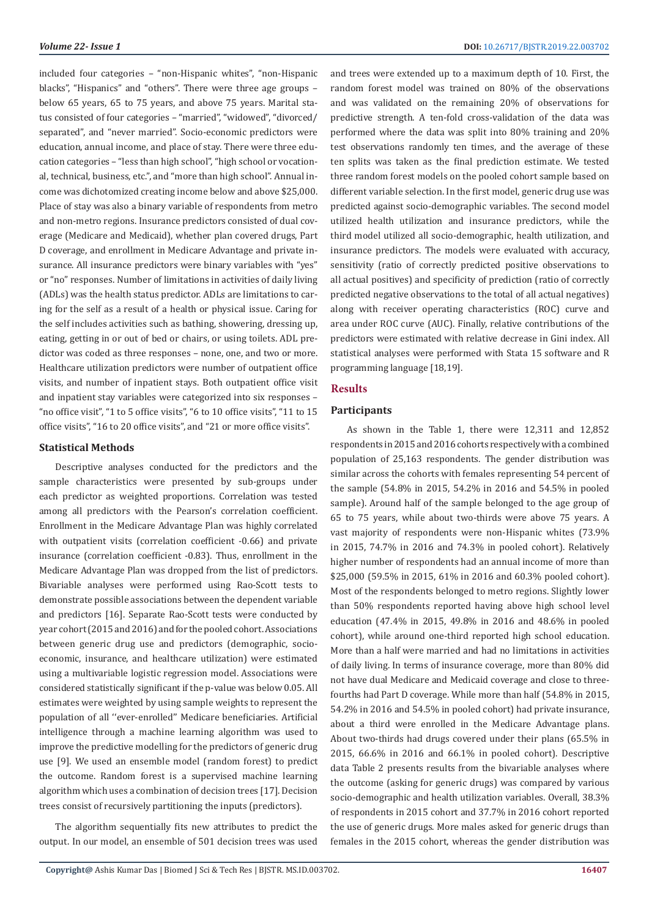included four categories – "non-Hispanic whites", "non-Hispanic blacks", "Hispanics" and "others". There were three age groups – below 65 years, 65 to 75 years, and above 75 years. Marital status consisted of four categories – "married", "widowed", "divorced/ separated", and "never married". Socio-economic predictors were education, annual income, and place of stay. There were three education categories – "less than high school", "high school or vocational, technical, business, etc.", and "more than high school". Annual income was dichotomized creating income below and above \$25,000. Place of stay was also a binary variable of respondents from metro and non-metro regions. Insurance predictors consisted of dual coverage (Medicare and Medicaid), whether plan covered drugs, Part D coverage, and enrollment in Medicare Advantage and private insurance. All insurance predictors were binary variables with "yes" or "no" responses. Number of limitations in activities of daily living (ADLs) was the health status predictor. ADLs are limitations to caring for the self as a result of a health or physical issue. Caring for the self includes activities such as bathing, showering, dressing up, eating, getting in or out of bed or chairs, or using toilets. ADL predictor was coded as three responses – none, one, and two or more. Healthcare utilization predictors were number of outpatient office visits, and number of inpatient stays. Both outpatient office visit and inpatient stay variables were categorized into six responses – "no office visit", "1 to 5 office visits", "6 to 10 office visits", "11 to 15 office visits", "16 to 20 office visits", and "21 or more office visits".

#### **Statistical Methods**

Descriptive analyses conducted for the predictors and the sample characteristics were presented by sub-groups under each predictor as weighted proportions. Correlation was tested among all predictors with the Pearson's correlation coefficient. Enrollment in the Medicare Advantage Plan was highly correlated with outpatient visits (correlation coefficient -0.66) and private insurance (correlation coefficient -0.83). Thus, enrollment in the Medicare Advantage Plan was dropped from the list of predictors. Bivariable analyses were performed using Rao-Scott tests to demonstrate possible associations between the dependent variable and predictors [16]. Separate Rao-Scott tests were conducted by year cohort (2015 and 2016) and for the pooled cohort. Associations between generic drug use and predictors (demographic, socioeconomic, insurance, and healthcare utilization) were estimated using a multivariable logistic regression model. Associations were considered statistically significant if the p-value was below 0.05. All estimates were weighted by using sample weights to represent the population of all ''ever-enrolled'' Medicare beneficiaries. Artificial intelligence through a machine learning algorithm was used to improve the predictive modelling for the predictors of generic drug use [9]. We used an ensemble model (random forest) to predict the outcome. Random forest is a supervised machine learning algorithm which uses a combination of decision trees [17]. Decision trees consist of recursively partitioning the inputs (predictors).

The algorithm sequentially fits new attributes to predict the output. In our model, an ensemble of 501 decision trees was used

and trees were extended up to a maximum depth of 10. First, the random forest model was trained on 80% of the observations and was validated on the remaining 20% of observations for predictive strength. A ten-fold cross-validation of the data was performed where the data was split into 80% training and 20% test observations randomly ten times, and the average of these ten splits was taken as the final prediction estimate. We tested three random forest models on the pooled cohort sample based on different variable selection. In the first model, generic drug use was predicted against socio-demographic variables. The second model utilized health utilization and insurance predictors, while the third model utilized all socio-demographic, health utilization, and insurance predictors. The models were evaluated with accuracy, sensitivity (ratio of correctly predicted positive observations to all actual positives) and specificity of prediction (ratio of correctly predicted negative observations to the total of all actual negatives) along with receiver operating characteristics (ROC) curve and area under ROC curve (AUC). Finally, relative contributions of the predictors were estimated with relative decrease in Gini index. All statistical analyses were performed with Stata 15 software and R programming language [18,19].

#### **Results**

#### **Participants**

As shown in the Table 1, there were 12,311 and 12,852 respondents in 2015 and 2016 cohorts respectively with a combined population of 25,163 respondents. The gender distribution was similar across the cohorts with females representing 54 percent of the sample (54.8% in 2015, 54.2% in 2016 and 54.5% in pooled sample). Around half of the sample belonged to the age group of 65 to 75 years, while about two-thirds were above 75 years. A vast majority of respondents were non-Hispanic whites (73.9% in 2015, 74.7% in 2016 and 74.3% in pooled cohort). Relatively higher number of respondents had an annual income of more than \$25,000 (59.5% in 2015, 61% in 2016 and 60.3% pooled cohort). Most of the respondents belonged to metro regions. Slightly lower than 50% respondents reported having above high school level education (47.4% in 2015, 49.8% in 2016 and 48.6% in pooled cohort), while around one-third reported high school education. More than a half were married and had no limitations in activities of daily living. In terms of insurance coverage, more than 80% did not have dual Medicare and Medicaid coverage and close to threefourths had Part D coverage. While more than half (54.8% in 2015, 54.2% in 2016 and 54.5% in pooled cohort) had private insurance, about a third were enrolled in the Medicare Advantage plans. About two-thirds had drugs covered under their plans (65.5% in 2015, 66.6% in 2016 and 66.1% in pooled cohort). Descriptive data Table 2 presents results from the bivariable analyses where the outcome (asking for generic drugs) was compared by various socio-demographic and health utilization variables. Overall, 38.3% of respondents in 2015 cohort and 37.7% in 2016 cohort reported the use of generic drugs. More males asked for generic drugs than females in the 2015 cohort, whereas the gender distribution was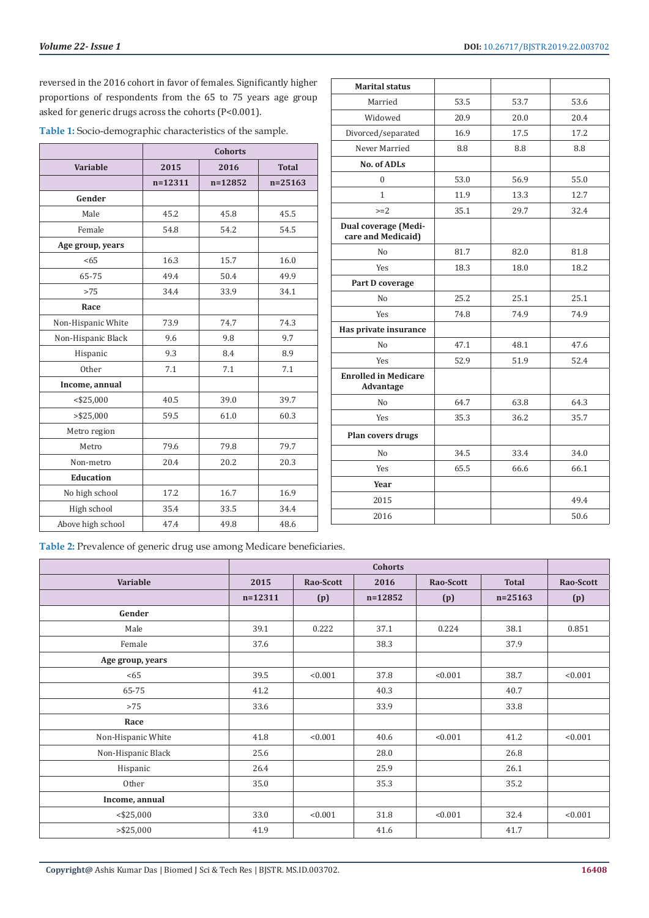reversed in the 2016 cohort in favor of females. Significantly higher proportions of respondents from the 65 to 75 years age group asked for generic drugs across the cohorts (P<0.001).

| Table 1: Socio-demographic characteristics of the sample. |  |
|-----------------------------------------------------------|--|
|-----------------------------------------------------------|--|

|                    | <b>Cohorts</b> |             |              |  |  |  |  |
|--------------------|----------------|-------------|--------------|--|--|--|--|
| Variable           | 2015           | 2016        | <b>Total</b> |  |  |  |  |
|                    | $n=12311$      | $n = 12852$ | $n = 25163$  |  |  |  |  |
| Gender             |                |             |              |  |  |  |  |
| Male               | 45.2           | 45.8        | 45.5         |  |  |  |  |
| Female             | 54.8           | 54.2        | 54.5         |  |  |  |  |
| Age group, years   |                |             |              |  |  |  |  |
| <65                | 16.3           | 15.7        | 16.0         |  |  |  |  |
| 65-75              | 49.4           | 50.4        | 49.9         |  |  |  |  |
| >75                | 34.4           | 33.9        | 34.1         |  |  |  |  |
| Race               |                |             |              |  |  |  |  |
| Non-Hispanic White | 73.9           | 74.7        | 74.3         |  |  |  |  |
| Non-Hispanic Black | 9.6            | 9.8         | 9.7          |  |  |  |  |
| Hispanic           | 9.3            | 8.4         | 8.9          |  |  |  |  |
| Other              | 7.1            | 7.1         | 7.1          |  |  |  |  |
| Income, annual     |                |             |              |  |  |  |  |
| $<$ \$25,000       | 40.5           | 39.0        | 39.7         |  |  |  |  |
| > \$25,000         | 59.5           | 61.0        | 60.3         |  |  |  |  |
| Metro region       |                |             |              |  |  |  |  |
| Metro              | 79.6           | 79.8        | 79.7         |  |  |  |  |
| Non-metro          | 20.4           | 20.2        | 20.3         |  |  |  |  |
| <b>Education</b>   |                |             |              |  |  |  |  |
| No high school     | 17.2           | 16.7        | 16.9         |  |  |  |  |
| High school        | 35.4           | 33.5        | 34.4         |  |  |  |  |
| Above high school  | 47.4           | 49.8        | 48.6         |  |  |  |  |

| <b>Marital status</b>                      |      |      |      |
|--------------------------------------------|------|------|------|
| Married                                    | 53.5 | 53.7 | 53.6 |
| Widowed                                    | 20.9 | 20.0 | 20.4 |
| Divorced/separated                         | 16.9 | 17.5 | 17.2 |
| Never Married                              | 8.8  | 8.8  | 8.8  |
| <b>No. of ADLs</b>                         |      |      |      |
| 0                                          | 53.0 | 56.9 | 55.0 |
| $\mathbf{1}$                               | 11.9 | 13.3 | 12.7 |
| $>=2$                                      | 35.1 | 29.7 | 32.4 |
| Dual coverage (Medi-<br>care and Medicaid) |      |      |      |
| No                                         | 81.7 | 82.0 | 81.8 |
| <b>Yes</b>                                 | 18.3 | 18.0 | 18.2 |
| Part D coverage                            |      |      |      |
| No                                         | 25.2 | 25.1 | 25.1 |
| <b>Yes</b>                                 | 74.8 | 74.9 | 74.9 |
| Has private insurance                      |      |      |      |
| No                                         | 47.1 | 48.1 | 47.6 |
| <b>Yes</b>                                 | 52.9 | 51.9 | 52.4 |
| <b>Enrolled in Medicare</b><br>Advantage   |      |      |      |
| No                                         | 64.7 | 63.8 | 64.3 |
| <b>Yes</b>                                 | 35.3 | 36.2 | 35.7 |
| Plan covers drugs                          |      |      |      |
| No                                         | 34.5 | 33.4 | 34.0 |
| Yes                                        | 65.5 | 66.6 | 66.1 |
| Year                                       |      |      |      |
| 2015                                       |      |      | 49.4 |
| 2016                                       |      |      | 50.6 |
|                                            |      |      |      |

**Table 2:** Prevalence of generic drug use among Medicare beneficiaries.

|                    | <b>Cohorts</b> |           |           |           |              |           |
|--------------------|----------------|-----------|-----------|-----------|--------------|-----------|
| Variable           | 2015           | Rao-Scott | 2016      | Rao-Scott | <b>Total</b> | Rao-Scott |
|                    | $n = 12311$    | (p)       | $n=12852$ | (p)       | $n = 25163$  | (p)       |
| Gender             |                |           |           |           |              |           |
| Male               | 39.1           | 0.222     | 37.1      | 0.224     | 38.1         | 0.851     |
| Female             | 37.6           |           | 38.3      |           | 37.9         |           |
| Age group, years   |                |           |           |           |              |           |
| < 65               | 39.5           | < 0.001   | 37.8      | < 0.001   | 38.7         | < 0.001   |
| 65-75              | 41.2           |           | 40.3      |           | 40.7         |           |
| >75                | 33.6           |           | 33.9      |           | 33.8         |           |
| Race               |                |           |           |           |              |           |
| Non-Hispanic White | 41.8           | < 0.001   | 40.6      | < 0.001   | 41.2         | < 0.001   |
| Non-Hispanic Black | 25.6           |           | 28.0      |           | 26.8         |           |
| Hispanic           | 26.4           |           | 25.9      |           | 26.1         |           |
| Other              | 35.0           |           | 35.3      |           | 35.2         |           |
| Income, annual     |                |           |           |           |              |           |
| $<$ \$25,000       | 33.0           | < 0.001   | 31.8      | < 0.001   | 32.4         | < 0.001   |
| > \$25,000         | 41.9           |           | 41.6      |           | 41.7         |           |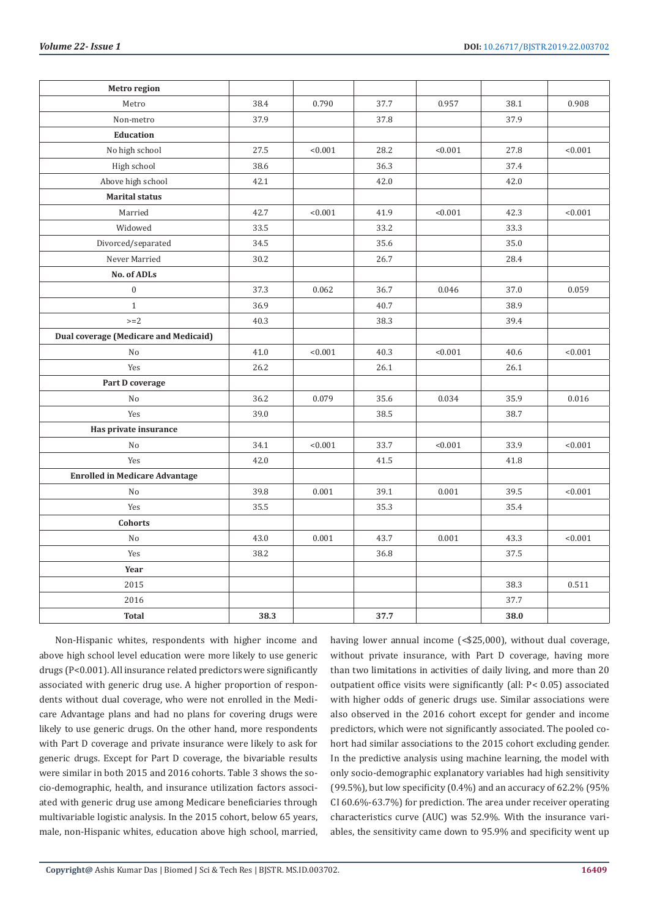| Metro region                          |      |         |      |         |      |         |
|---------------------------------------|------|---------|------|---------|------|---------|
| Metro                                 | 38.4 | 0.790   | 37.7 | 0.957   | 38.1 | 0.908   |
| Non-metro                             | 37.9 |         | 37.8 |         | 37.9 |         |
| <b>Education</b>                      |      |         |      |         |      |         |
| No high school                        | 27.5 | < 0.001 | 28.2 | < 0.001 | 27.8 | < 0.001 |
| High school                           | 38.6 |         | 36.3 |         | 37.4 |         |
| Above high school                     | 42.1 |         | 42.0 |         | 42.0 |         |
| <b>Marital status</b>                 |      |         |      |         |      |         |
| Married                               | 42.7 | < 0.001 | 41.9 | < 0.001 | 42.3 | < 0.001 |
| Widowed                               | 33.5 |         | 33.2 |         | 33.3 |         |
| Divorced/separated                    | 34.5 |         | 35.6 |         | 35.0 |         |
| Never Married                         | 30.2 |         | 26.7 |         | 28.4 |         |
| No. of ADLs                           |      |         |      |         |      |         |
| $\boldsymbol{0}$                      | 37.3 | 0.062   | 36.7 | 0.046   | 37.0 | 0.059   |
| $\mathbf{1}$                          | 36.9 |         | 40.7 |         | 38.9 |         |
| $>=2$                                 | 40.3 |         | 38.3 |         | 39.4 |         |
| Dual coverage (Medicare and Medicaid) |      |         |      |         |      |         |
| No                                    | 41.0 | < 0.001 | 40.3 | < 0.001 | 40.6 | < 0.001 |
| Yes                                   | 26.2 |         | 26.1 |         | 26.1 |         |
| Part D coverage                       |      |         |      |         |      |         |
| No                                    | 36.2 | 0.079   | 35.6 | 0.034   | 35.9 | 0.016   |
| Yes                                   | 39.0 |         | 38.5 |         | 38.7 |         |
| Has private insurance                 |      |         |      |         |      |         |
| No                                    | 34.1 | < 0.001 | 33.7 | < 0.001 | 33.9 | < 0.001 |
| Yes                                   | 42.0 |         | 41.5 |         | 41.8 |         |
| <b>Enrolled in Medicare Advantage</b> |      |         |      |         |      |         |
| No                                    | 39.8 | 0.001   | 39.1 | 0.001   | 39.5 | < 0.001 |
| Yes                                   | 35.5 |         | 35.3 |         | 35.4 |         |
| <b>Cohorts</b>                        |      |         |      |         |      |         |
| No                                    | 43.0 | 0.001   | 43.7 | 0.001   | 43.3 | < 0.001 |
| Yes                                   | 38.2 |         | 36.8 |         | 37.5 |         |
| Year                                  |      |         |      |         |      |         |
| 2015                                  |      |         |      |         | 38.3 | 0.511   |
| 2016                                  |      |         |      |         | 37.7 |         |
| <b>Total</b>                          | 38.3 |         | 37.7 |         | 38.0 |         |

Non-Hispanic whites, respondents with higher income and above high school level education were more likely to use generic drugs (P<0.001). All insurance related predictors were significantly associated with generic drug use. A higher proportion of respondents without dual coverage, who were not enrolled in the Medicare Advantage plans and had no plans for covering drugs were likely to use generic drugs. On the other hand, more respondents with Part D coverage and private insurance were likely to ask for generic drugs. Except for Part D coverage, the bivariable results were similar in both 2015 and 2016 cohorts. Table 3 shows the socio-demographic, health, and insurance utilization factors associated with generic drug use among Medicare beneficiaries through multivariable logistic analysis. In the 2015 cohort, below 65 years, male, non-Hispanic whites, education above high school, married,

having lower annual income (<\$25,000), without dual coverage, without private insurance, with Part D coverage, having more than two limitations in activities of daily living, and more than 20 outpatient office visits were significantly (all: P< 0.05) associated with higher odds of generic drugs use. Similar associations were also observed in the 2016 cohort except for gender and income predictors, which were not significantly associated. The pooled cohort had similar associations to the 2015 cohort excluding gender. In the predictive analysis using machine learning, the model with only socio-demographic explanatory variables had high sensitivity (99.5%), but low specificity (0.4%) and an accuracy of 62.2% (95% CI 60.6%-63.7%) for prediction. The area under receiver operating characteristics curve (AUC) was 52.9%. With the insurance variables, the sensitivity came down to 95.9% and specificity went up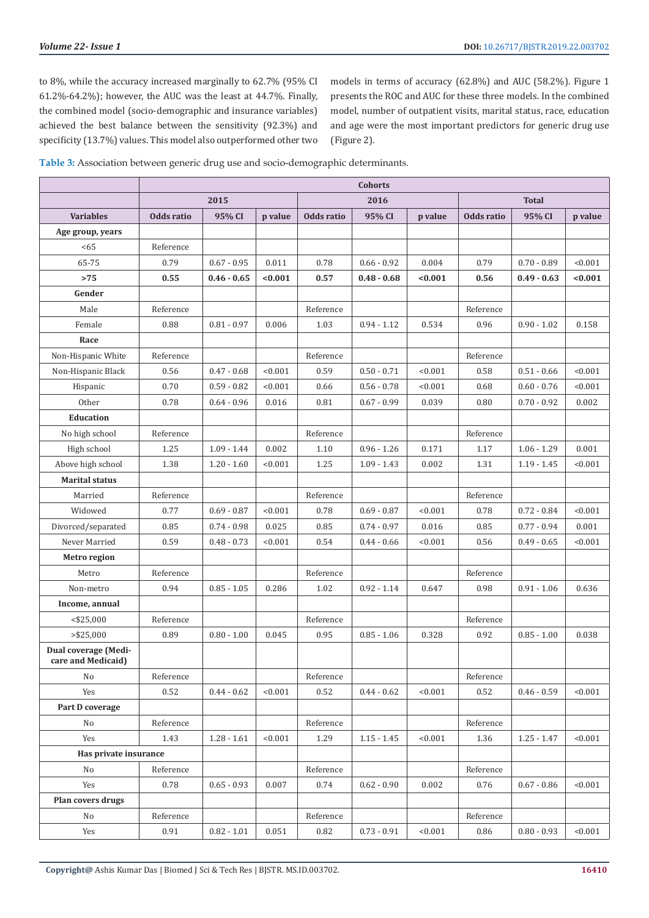to 8%, while the accuracy increased marginally to 62.7% (95% CI 61.2%-64.2%); however, the AUC was the least at 44.7%. Finally, the combined model (socio-demographic and insurance variables) achieved the best balance between the sensitivity (92.3%) and specificity (13.7%) values. This model also outperformed other two

models in terms of accuracy (62.8%) and AUC (58.2%). Figure 1 presents the ROC and AUC for these three models. In the combined model, number of outpatient visits, marital status, race, education and age were the most important predictors for generic drug use (Figure 2).

**Table 3:** Association between generic drug use and socio-demographic determinants.

|                                            | <b>Cohorts</b> |               |         |            |                      |         |            |               |         |
|--------------------------------------------|----------------|---------------|---------|------------|----------------------|---------|------------|---------------|---------|
|                                            |                | 2015          |         |            | 2016<br><b>Total</b> |         |            |               |         |
| <b>Variables</b>                           | Odds ratio     | 95% CI        | p value | Odds ratio | 95% CI               | p value | Odds ratio | 95% CI        | p value |
| Age group, years                           |                |               |         |            |                      |         |            |               |         |
| <65                                        | Reference      |               |         |            |                      |         |            |               |         |
| 65-75                                      | 0.79           | $0.67 - 0.95$ | 0.011   | 0.78       | $0.66 - 0.92$        | 0.004   | 0.79       | $0.70 - 0.89$ | < 0.001 |
| >75                                        | 0.55           | $0.46 - 0.65$ | < 0.001 | 0.57       | $0.48 - 0.68$        | < 0.001 | 0.56       | $0.49 - 0.63$ | < 0.001 |
| Gender                                     |                |               |         |            |                      |         |            |               |         |
| Male                                       | Reference      |               |         | Reference  |                      |         | Reference  |               |         |
| Female                                     | 0.88           | $0.81 - 0.97$ | 0.006   | 1.03       | $0.94 - 1.12$        | 0.534   | 0.96       | $0.90 - 1.02$ | 0.158   |
| Race                                       |                |               |         |            |                      |         |            |               |         |
| Non-Hispanic White                         | Reference      |               |         | Reference  |                      |         | Reference  |               |         |
| Non-Hispanic Black                         | 0.56           | $0.47 - 0.68$ | < 0.001 | 0.59       | $0.50 - 0.71$        | < 0.001 | 0.58       | $0.51 - 0.66$ | < 0.001 |
| Hispanic                                   | 0.70           | $0.59 - 0.82$ | < 0.001 | 0.66       | $0.56 - 0.78$        | < 0.001 | 0.68       | $0.60 - 0.76$ | < 0.001 |
| Other                                      | 0.78           | $0.64 - 0.96$ | 0.016   | 0.81       | $0.67 - 0.99$        | 0.039   | 0.80       | $0.70 - 0.92$ | 0.002   |
| <b>Education</b>                           |                |               |         |            |                      |         |            |               |         |
| No high school                             | Reference      |               |         | Reference  |                      |         | Reference  |               |         |
| High school                                | 1.25           | $1.09 - 1.44$ | 0.002   | 1.10       | $0.96 - 1.26$        | 0.171   | 1.17       | $1.06 - 1.29$ | 0.001   |
| Above high school                          | 1.38           | $1.20 - 1.60$ | < 0.001 | 1.25       | $1.09 - 1.43$        | 0.002   | 1.31       | $1.19 - 1.45$ | < 0.001 |
| <b>Marital status</b>                      |                |               |         |            |                      |         |            |               |         |
| Married                                    | Reference      |               |         | Reference  |                      |         | Reference  |               |         |
| Widowed                                    | 0.77           | $0.69 - 0.87$ | < 0.001 | 0.78       | $0.69 - 0.87$        | < 0.001 | 0.78       | $0.72 - 0.84$ | < 0.001 |
| Divorced/separated                         | 0.85           | $0.74 - 0.98$ | 0.025   | 0.85       | $0.74 - 0.97$        | 0.016   | 0.85       | $0.77 - 0.94$ | 0.001   |
| Never Married                              | 0.59           | $0.48 - 0.73$ | < 0.001 | 0.54       | $0.44 - 0.66$        | < 0.001 | 0.56       | $0.49 - 0.65$ | < 0.001 |
| Metro region                               |                |               |         |            |                      |         |            |               |         |
| Metro                                      | Reference      |               |         | Reference  |                      |         | Reference  |               |         |
| Non-metro                                  | 0.94           | $0.85 - 1.05$ | 0.286   | 1.02       | $0.92 - 1.14$        | 0.647   | 0.98       | $0.91 - 1.06$ | 0.636   |
| Income, annual                             |                |               |         |            |                      |         |            |               |         |
| $<$ \$25,000                               | Reference      |               |         | Reference  |                      |         | Reference  |               |         |
| $>$ \$25,000                               | 0.89           | $0.80 - 1.00$ | 0.045   | 0.95       | $0.85 - 1.06$        | 0.328   | 0.92       | $0.85 - 1.00$ | 0.038   |
| Dual coverage (Medi-<br>care and Medicaid) |                |               |         |            |                      |         |            |               |         |
| No                                         | Reference      |               |         | Reference  |                      |         | Reference  |               |         |
| Yes                                        | 0.52           | $0.44 - 0.62$ | < 0.001 | 0.52       | $0.44 - 0.62$        | < 0.001 | 0.52       | $0.46 - 0.59$ | < 0.001 |
| Part D coverage                            |                |               |         |            |                      |         |            |               |         |
| No                                         | Reference      |               |         | Reference  |                      |         | Reference  |               |         |
| Yes                                        | 1.43           | $1.28 - 1.61$ | < 0.001 | 1.29       | $1.15 - 1.45$        | < 0.001 | 1.36       | $1.25 - 1.47$ | < 0.001 |
| Has private insurance                      |                |               |         |            |                      |         |            |               |         |
| No                                         | Reference      |               |         | Reference  |                      |         | Reference  |               |         |
| Yes                                        | 0.78           | $0.65 - 0.93$ | 0.007   | 0.74       | $0.62 - 0.90$        | 0.002   | 0.76       | $0.67 - 0.86$ | < 0.001 |
| Plan covers drugs                          |                |               |         |            |                      |         |            |               |         |
| No                                         | Reference      |               |         | Reference  |                      |         | Reference  |               |         |
| Yes                                        | 0.91           | $0.82 - 1.01$ | 0.051   | 0.82       | $0.73 - 0.91$        | < 0.001 | 0.86       | $0.80 - 0.93$ | < 0.001 |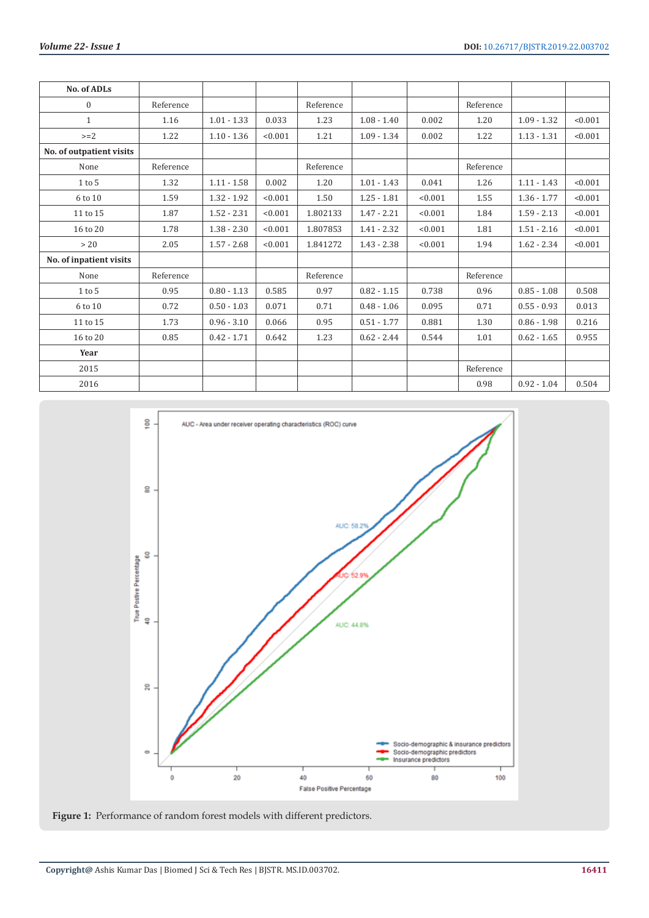| <b>No. of ADLs</b>       |           |               |         |           |               |         |           |               |         |
|--------------------------|-----------|---------------|---------|-----------|---------------|---------|-----------|---------------|---------|
| $\mathbf{0}$             | Reference |               |         | Reference |               |         | Reference |               |         |
| $\mathbf{1}$             | 1.16      | $1.01 - 1.33$ | 0.033   | 1.23      | $1.08 - 1.40$ | 0.002   | 1.20      | $1.09 - 1.32$ | < 0.001 |
| $>=2$                    | 1.22      | $1.10 - 1.36$ | < 0.001 | 1.21      | $1.09 - 1.34$ | 0.002   | 1.22      | $1.13 - 1.31$ | < 0.001 |
| No. of outpatient visits |           |               |         |           |               |         |           |               |         |
| None                     | Reference |               |         | Reference |               |         | Reference |               |         |
| $1$ to $5$               | 1.32      | $1.11 - 1.58$ | 0.002   | 1.20      | $1.01 - 1.43$ | 0.041   | 1.26      | $1.11 - 1.43$ | < 0.001 |
| 6 to 10                  | 1.59      | $1.32 - 1.92$ | < 0.001 | 1.50      | $1.25 - 1.81$ | < 0.001 | 1.55      | $1.36 - 1.77$ | < 0.001 |
| 11 to 15                 | 1.87      | $1.52 - 2.31$ | < 0.001 | 1.802133  | $1.47 - 2.21$ | < 0.001 | 1.84      | $1.59 - 2.13$ | < 0.001 |
| 16 to 20                 | 1.78      | $1.38 - 2.30$ | < 0.001 | 1.807853  | $1.41 - 2.32$ | < 0.001 | 1.81      | $1.51 - 2.16$ | < 0.001 |
| > 20                     | 2.05      | $1.57 - 2.68$ | < 0.001 | 1.841272  | $1.43 - 2.38$ | < 0.001 | 1.94      | $1.62 - 2.34$ | < 0.001 |
| No. of inpatient visits  |           |               |         |           |               |         |           |               |         |
| None                     | Reference |               |         | Reference |               |         | Reference |               |         |
| $1$ to $5$               | 0.95      | $0.80 - 1.13$ | 0.585   | 0.97      | $0.82 - 1.15$ | 0.738   | 0.96      | $0.85 - 1.08$ | 0.508   |
| 6 to 10                  | 0.72      | $0.50 - 1.03$ | 0.071   | 0.71      | $0.48 - 1.06$ | 0.095   | 0.71      | $0.55 - 0.93$ | 0.013   |
| 11 to 15                 | 1.73      | $0.96 - 3.10$ | 0.066   | 0.95      | $0.51 - 1.77$ | 0.881   | 1.30      | $0.86 - 1.98$ | 0.216   |
| 16 to 20                 | 0.85      | $0.42 - 1.71$ | 0.642   | 1.23      | $0.62 - 2.44$ | 0.544   | 1.01      | $0.62 - 1.65$ | 0.955   |
| Year                     |           |               |         |           |               |         |           |               |         |
| 2015                     |           |               |         |           |               |         | Reference |               |         |
| 2016                     |           |               |         |           |               |         | 0.98      | $0.92 - 1.04$ | 0.504   |



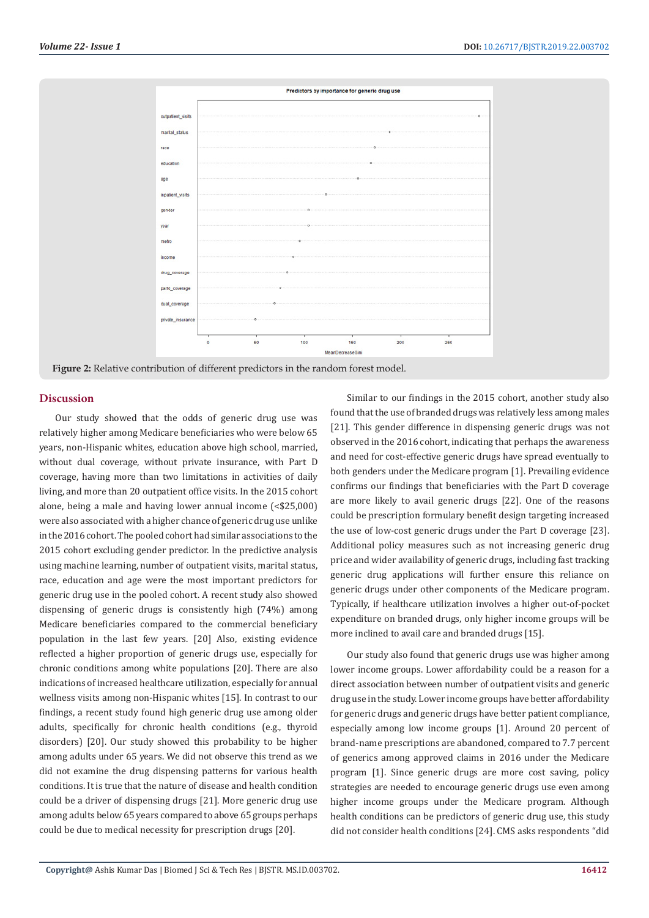

# **Discussion**

Our study showed that the odds of generic drug use was relatively higher among Medicare beneficiaries who were below 65 years, non-Hispanic whites, education above high school, married, without dual coverage, without private insurance, with Part D coverage, having more than two limitations in activities of daily living, and more than 20 outpatient office visits. In the 2015 cohort alone, being a male and having lower annual income (<\$25,000) were also associated with a higher chance of generic drug use unlike in the 2016 cohort. The pooled cohort had similar associations to the 2015 cohort excluding gender predictor. In the predictive analysis using machine learning, number of outpatient visits, marital status, race, education and age were the most important predictors for generic drug use in the pooled cohort. A recent study also showed dispensing of generic drugs is consistently high (74%) among Medicare beneficiaries compared to the commercial beneficiary population in the last few years. [20] Also, existing evidence reflected a higher proportion of generic drugs use, especially for chronic conditions among white populations [20]. There are also indications of increased healthcare utilization, especially for annual wellness visits among non-Hispanic whites [15]. In contrast to our findings, a recent study found high generic drug use among older adults, specifically for chronic health conditions (e.g., thyroid disorders) [20]. Our study showed this probability to be higher among adults under 65 years. We did not observe this trend as we did not examine the drug dispensing patterns for various health conditions. It is true that the nature of disease and health condition could be a driver of dispensing drugs [21]. More generic drug use among adults below 65 years compared to above 65 groups perhaps could be due to medical necessity for prescription drugs [20].

Similar to our findings in the 2015 cohort, another study also found that the use of branded drugs was relatively less among males [21]. This gender difference in dispensing generic drugs was not observed in the 2016 cohort, indicating that perhaps the awareness and need for cost-effective generic drugs have spread eventually to both genders under the Medicare program [1]. Prevailing evidence confirms our findings that beneficiaries with the Part D coverage are more likely to avail generic drugs [22]. One of the reasons could be prescription formulary benefit design targeting increased the use of low-cost generic drugs under the Part D coverage [23]. Additional policy measures such as not increasing generic drug price and wider availability of generic drugs, including fast tracking generic drug applications will further ensure this reliance on generic drugs under other components of the Medicare program. Typically, if healthcare utilization involves a higher out-of-pocket expenditure on branded drugs, only higher income groups will be more inclined to avail care and branded drugs [15].

Our study also found that generic drugs use was higher among lower income groups. Lower affordability could be a reason for a direct association between number of outpatient visits and generic drug use in the study. Lower income groups have better affordability for generic drugs and generic drugs have better patient compliance, especially among low income groups [1]. Around 20 percent of brand-name prescriptions are abandoned, compared to 7.7 percent of generics among approved claims in 2016 under the Medicare program [1]. Since generic drugs are more cost saving, policy strategies are needed to encourage generic drugs use even among higher income groups under the Medicare program. Although health conditions can be predictors of generic drug use, this study did not consider health conditions [24]. CMS asks respondents "did